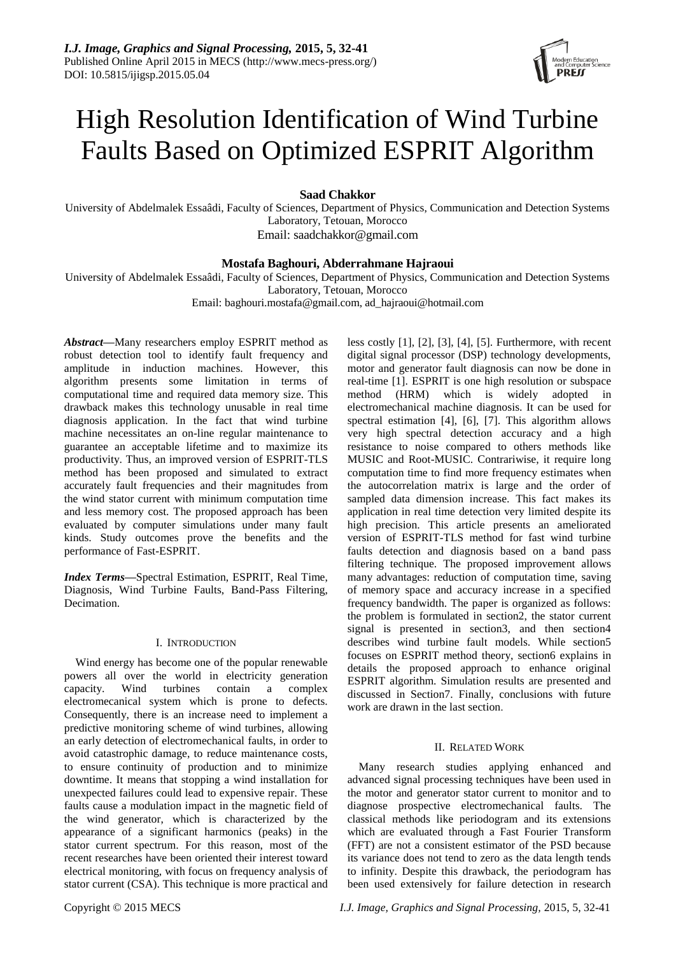

# High Resolution Identification of Wind Turbine Faults Based on Optimized ESPRIT Algorithm

**Saad Chakkor**

University of Abdelmalek Essaâdi, Faculty of Sciences, Department of Physics, Communication and Detection Systems Laboratory, Tetouan, Morocco

Email: saadchakkor@gmail.com

# **Mostafa Baghouri, Abderrahmane Hajraoui**

University of Abdelmalek Essaâdi, Faculty of Sciences, Department of Physics, Communication and Detection Systems Laboratory, Tetouan, Morocco

Email: baghouri.mostafa@gmail.com, ad\_hajraoui@hotmail.com

*Abstract***—**Many researchers employ ESPRIT method as robust detection tool to identify fault frequency and amplitude in induction machines. However, this algorithm presents some limitation in terms of computational time and required data memory size. This drawback makes this technology unusable in real time diagnosis application. In the fact that wind turbine machine necessitates an on-line regular maintenance to guarantee an acceptable lifetime and to maximize its productivity. Thus, an improved version of ESPRIT-TLS method has been proposed and simulated to extract accurately fault frequencies and their magnitudes from the wind stator current with minimum computation time and less memory cost. The proposed approach has been evaluated by computer simulations under many fault kinds. Study outcomes prove the benefits and the performance of Fast-ESPRIT.

*Index Terms***—**Spectral Estimation, ESPRIT, Real Time, Diagnosis, Wind Turbine Faults, Band-Pass Filtering, Decimation.

# I. INTRODUCTION

Wind energy has become one of the popular renewable powers all over the world in electricity generation capacity. Wind turbines contain a complex electromecanical system which is prone to defects. Consequently, there is an increase need to implement a predictive monitoring scheme of wind turbines, allowing an early detection of electromechanical faults, in order to avoid catastrophic damage, to reduce maintenance costs, to ensure continuity of production and to minimize downtime. It means that stopping a wind installation for unexpected failures could lead to expensive repair. These faults cause a modulation impact in the magnetic field of the wind generator, which is characterized by the appearance of a significant harmonics (peaks) in the stator current spectrum. For this reason, most of the recent researches have been oriented their interest toward electrical monitoring, with focus on frequency analysis of stator current (CSA). This technique is more practical and motor and generator fault diagnosis can now be done in real-time [1]. ESPRIT is one high resolution or subspace method (HRM) which is widely adopted in electromechanical machine diagnosis. It can be used for spectral estimation [4], [6], [7]. This algorithm allows very high spectral detection accuracy and a high resistance to noise compared to others methods like MUSIC and Root-MUSIC. Contrariwise, it require long computation time to find more frequency estimates when the autocorrelation matrix is large and the order of sampled data dimension increase. This fact makes its application in real time detection very limited despite its high precision. This article presents an ameliorated version of ESPRIT-TLS method for fast wind turbine faults detection and diagnosis based on a band pass filtering technique. The proposed improvement allows many advantages: reduction of computation time, saving of memory space and accuracy increase in a specified frequency bandwidth. The paper is organized as follows: the problem is formulated in section2, the stator current signal is presented in section3, and then section4 describes wind turbine fault models. While section5 focuses on ESPRIT method theory, section6 explains in details the proposed approach to enhance original ESPRIT algorithm. Simulation results are presented and discussed in Section7. Finally, conclusions with future work are drawn in the last section.

less costly [1], [2], [3], [4], [5]. Furthermore, with recent digital signal processor (DSP) technology developments,

# II. RELATED WORK

Many research studies applying enhanced and advanced signal processing techniques have been used in the motor and generator stator current to monitor and to diagnose prospective electromechanical faults. The classical methods like periodogram and its extensions which are evaluated through a Fast Fourier Transform (FFT) are not a consistent estimator of the PSD because its variance does not tend to zero as the data length tends to infinity. Despite this drawback, the periodogram has been used extensively for failure detection in research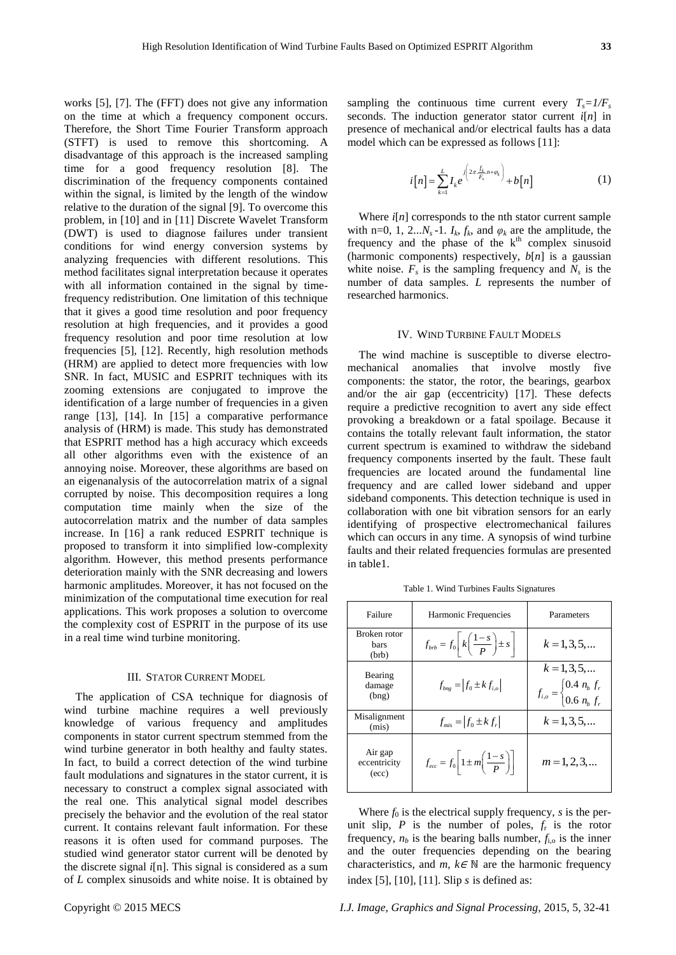works [5], [7]. The (FFT) does not give any information on the time at which a frequency component occurs. Therefore, the Short Time Fourier Transform approach (STFT) is used to remove this shortcoming. A disadvantage of this approach is the increased sampling time for a good frequency resolution [8]. The discrimination of the frequency components contained within the signal, is limited by the length of the window relative to the duration of the signal [9]. To overcome this problem, in [10] and in [11] Discrete Wavelet Transform (DWT) is used to diagnose failures under transient conditions for wind energy conversion systems by analyzing frequencies with different resolutions. This method facilitates signal interpretation because it operates with all information contained in the signal by timefrequency redistribution. One limitation of this technique that it gives a good time resolution and poor frequency resolution at high frequencies, and it provides a good frequency resolution and poor time resolution at low frequencies [5], [12]. Recently, high resolution methods (HRM) are applied to detect more frequencies with low SNR. In fact, MUSIC and ESPRIT techniques with its zooming extensions are conjugated to improve the identification of a large number of frequencies in a given range [13], [14]. In [15] a comparative performance analysis of (HRM) is made. This study has demonstrated that ESPRIT method has a high accuracy which exceeds all other algorithms even with the existence of an annoying noise. Moreover, these algorithms are based on an eigenanalysis of the autocorrelation matrix of a signal corrupted by noise. This decomposition requires a long computation time mainly when the size of the autocorrelation matrix and the number of data samples increase. In [16] a rank reduced ESPRIT technique is proposed to transform it into simplified low-complexity algorithm. However, this method presents performance deterioration mainly with the SNR decreasing and lowers harmonic amplitudes. Moreover, it has not focused on the minimization of the computational time execution for real applications. This work proposes a solution to overcome the complexity cost of ESPRIT in the purpose of its use in a real time wind turbine monitoring.

### III. STATOR CURRENT MODEL

The application of CSA technique for diagnosis of wind turbine machine requires a well previously knowledge of various frequency and amplitudes components in stator current spectrum stemmed from the wind turbine generator in both healthy and faulty states. In fact, to build a correct detection of the wind turbine fault modulations and signatures in the stator current, it is necessary to construct a complex signal associated with the real one. This analytical signal model describes precisely the behavior and the evolution of the real stator current. It contains relevant fault information. For these reasons it is often used for command purposes. The studied wind generator stator current will be denoted by the discrete signal *i*[n]. This signal is considered as a sum of *L* complex sinusoids and white noise. It is obtained by sampling the continuous time current every  $T_s = 1/F_s$ seconds. The induction generator stator current *i*[*n*] in presence of mechanical and/or electrical faults has a data model which can be expressed as follows [11]:

$$
i[n] = \sum_{k=1}^{L} I_k e^{j\left(2\pi \frac{f_k}{F_s} n + \varphi_k\right)} + b[n] \tag{1}
$$

Where *i*[*n*] corresponds to the nth stator current sample with n=0, 1, 2... $N_s$ -1.  $I_k$ ,  $f_k$ , and  $\varphi_k$  are the amplitude, the frequency and the phase of the  $k<sup>th</sup>$  complex sinusoid (harmonic components) respectively, *b*[*n*] is a gaussian white noise.  $F_s$  is the sampling frequency and  $N_s$  is the number of data samples. *L* represents the number of researched harmonics.

### IV. WIND TURBINE FAULT MODELS

The wind machine is susceptible to diverse electromechanical anomalies that involve mostly five components: the stator, the rotor, the bearings, gearbox and/or the air gap (eccentricity) [17]. These defects require a predictive recognition to avert any side effect provoking a breakdown or a fatal spoilage. Because it contains the totally relevant fault information, the stator current spectrum is examined to withdraw the sideband frequency components inserted by the fault. These fault frequencies are located around the fundamental line frequency and are called lower sideband and upper sideband components. This detection technique is used in collaboration with one bit vibration sensors for an early identifying of prospective electromechanical failures which can occurs in any time. A synopsis of wind turbine faults and their related frequencies formulas are presented in table1.

Table 1. Wind Turbines Faults Signatures

| Failure                          | Harmonic Frequencies                                                | Parameters                                                                                    |
|----------------------------------|---------------------------------------------------------------------|-----------------------------------------------------------------------------------------------|
| Broken rotor<br>bars<br>(brb)    | $f_{brb} = f_0 \left[ k \left( \frac{1-s}{p} \right) \pm s \right]$ | $k = 1, 3, 5, $                                                                               |
| Bearing<br>damage<br>(bng)       | $f_{bng} =  f_0 \pm kf_{i,o} $                                      | $k = 1, 3, 5, $<br>$f_{i,o} = \begin{cases} 0.4 & n_b \, f_r \\ 0.6 & n_b \, f_s \end{cases}$ |
| Misalignment<br>(mis)            | $f_{\text{mis}} =  f_0 \pm kf_r $                                   | $k = 1, 3, 5, $                                                                               |
| Air gap<br>eccentricity<br>(ecc) | $f_{ecc} = f_0 \left  1 \pm m \left( \frac{1-s}{P} \right) \right $ | $m = 1, 2, 3, $                                                                               |

Where  $f_0$  is the electrical supply frequency,  $s$  is the perunit slip,  $P$  is the number of poles,  $f_r$  is the rotor frequency,  $n_b$  is the bearing balls number,  $f_{i,o}$  is the inner and the outer frequencies depending on the bearing characteristics, and  $m, k \in \mathbb{N}$  are the harmonic frequency index [5], [10], [11]. Slip *s* is defined as: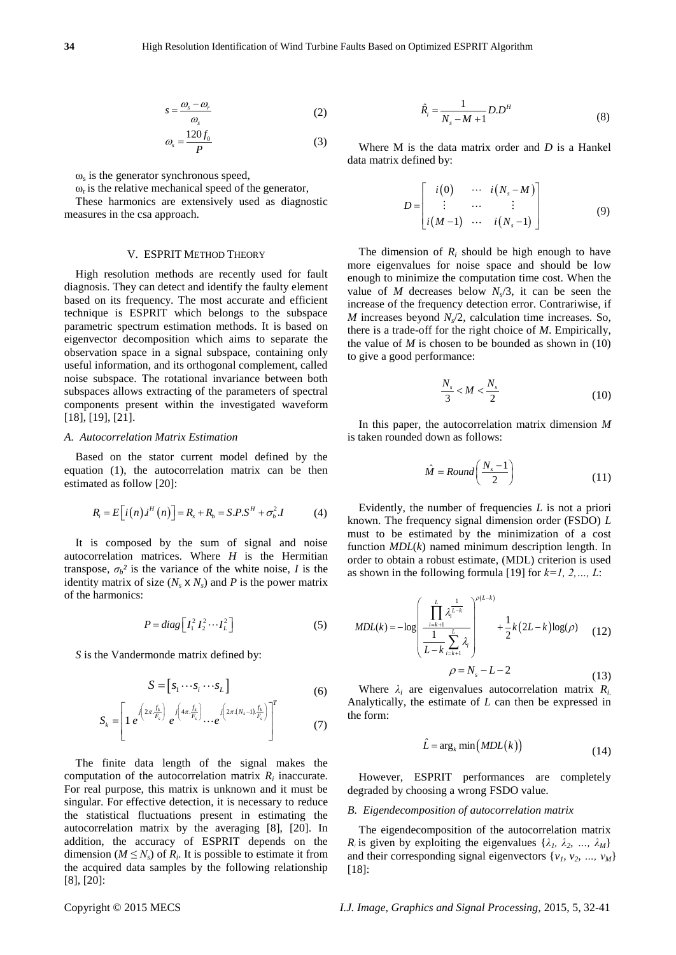$$
s = \frac{\omega_s - \omega_r}{\omega_s} \tag{2}
$$

$$
\omega_s = \frac{120f_0}{P} \tag{3}
$$

 $\omega$ <sub>s</sub> is the generator synchronous speed,

 $\omega_r$  is the relative mechanical speed of the generator,

These harmonics are extensively used as diagnostic measures in the csa approach.

#### V. ESPRIT METHOD THEORY

Co<sup>pyright</sup> Co<sup>pyright</sup> Co<sup>pyright</sup> Co<sup>pyright</sup> Copyright Copyright Copyright Copyright Copyright Copyright Copyright Copyright Copyright Copyright Copyright Copyright Copyright Copyright Copyright Copyright Copyright Cop High resolution methods are recently used for fault diagnosis. They can detect and identify the faulty element based on its frequency. The most accurate and efficient technique is ESPRIT which belongs to the subspace parametric spectrum estimation methods. It is based on eigenvector decomposition which aims to separate the observation space in a signal subspace, containing only useful information, and its orthogonal complement, called noise subspace. The rotational invariance between both subspaces allows extracting of the parameters of spectral components present within the investigated waveform [18], [19], [21].  $s = \frac{\omega_2 - \omega_2}{\omega_0}$  (2) Where M is the data of  $\omega_2 = \frac{2\omega_2 - \omega_2}{\omega_0}$  (3) Where M is the data of  $\omega_2 = \frac{2\omega_2 - \omega_2}{\omega_0}$  (a) Where M is the data of data matrix defined by:<br>
thus his the galacton conclusion speed

#### *A. Autocorrelation Matrix Estimation*

Based on the stator current model defined by the equation (1), the autocorrelation matrix can be then estimated as follow [20]:

$$
R_i = E\Big[i(n)\,i^H(n)\Big] = R_s + R_b = S.P.S^H + \sigma_b^2 \,I \tag{4}
$$

It is composed by the sum of signal and noise autocorrelation matrices. Where *H* is the Hermitian transpose,  $\sigma_b$ <sup>2</sup> is the variance of the white noise, *I* is the identity matrix of size  $(N_s \times N_s)$  and P is the power matrix of the harmonics:

$$
P = diag\left[I_1^2 I_2^2 \cdots I_L^2\right]
$$
 (5)

*S* is the Vandermonde matrix defined by:

$$
S = [s_1 \cdots s_i \cdots s_L]
$$
 (6)

$$
S_{k} = \left[1 e^{j\left(2\pi \frac{f_{k}}{F_{s}}\right)} e^{j\left(4\pi \frac{f_{k}}{F_{s}}\right)} \cdots e^{j\left(2\pi \left(N_{s}-1\right) \frac{f_{k}}{F_{s}}\right)}\right]^{T}
$$
(6)

computation of the autocorrelation matrix  $R_i$  inaccurate. The finite data length of the signal makes the For real purpose, this matrix is unknown and it must be singular. For effective detection, it is necessary to reduce the statistical fluctuations present in estimating the autocorrelation matrix by the averaging [8], [20]. In addition, the accuracy of ESPRIT depends on the dimension ( $M \leq N_s$ ) of  $R_i$ . It is possible to estimate it from the acquired data samples by the following relationship

$$
\hat{R}_i = \frac{1}{N_s - M + 1} D.D^H
$$
\n(8)

Where M is the data matrix order and *D* is a Hankel data matrix defined by:

$$
D = \begin{bmatrix} i(0) & \cdots & i(N_s - M) \\ \vdots & \cdots & \vdots \\ i(M-1) & \cdots & i(N_s - 1) \end{bmatrix}
$$
 (9)

The dimension of  $R_i$  should be high enough to have more eigenvalues for noise space and should be low enough to minimize the computation time cost. When the value of *M* decreases below  $N_s/3$ , it can be seen the increase of the frequency detection error. Contrariwise, if *M* increases beyond *N<sup>s</sup>* /2, calculation time increases. So, there is a trade-off for the right choice of *M*. Empirically, the value of  $M$  is chosen to be bounded as shown in  $(10)$ to give a good performance:

$$
\frac{N_s}{3} < M < \frac{N_s}{2} \tag{10}
$$

In this paper, the autocorrelation matrix dimension *M* is taken rounded down as follows:

$$
\hat{M} = Round\left(\frac{N_s - 1}{2}\right) \tag{11}
$$

Evidently, the number of frequencies *L* is not a priori known. The frequency signal dimension order (FSDO) *L* must to be estimated by the minimization of a cost function *MDL*(*k*) named minimum description length. In order to obtain a robust estimate, (MDL) criterion is used as shown in the following formula [19] for *k=1, 2,…, L*:

$$
MDL(k) = -\log \left( \frac{\prod_{i=k+1}^{L} \lambda_i^{\frac{1}{L-k}}}{\frac{1}{L-k} \sum_{i=k+1}^{L} \lambda_i} \right)^{\rho(L-k)} + \frac{1}{2} k \left( 2L - k \right) \log(\rho) \tag{12}
$$

$$
\rho = N_s - L - 2 \tag{13}
$$

Where  $\lambda_i$  are eigenvalues autocorrelation matrix  $R_i$ . Analytically, the estimate of *L* can then be expressed in the form:

$$
\hat{L} = \arg_k \min\left(MDL(k)\right) \tag{14}
$$

However, ESPRIT performances are completely degraded by choosing a wrong FSDO value.

## *B. Eigendecomposition of autocorrelation matrix*

The eigendecomposition of the autocorrelation matrix *R*<sub>i</sub> is given by exploiting the eigenvalues  $\{\lambda_1, \lambda_2, ..., \lambda_M\}$ and their corresponding signal eigenvectors  $\{v_1, v_2, ..., v_M\}$ [18]: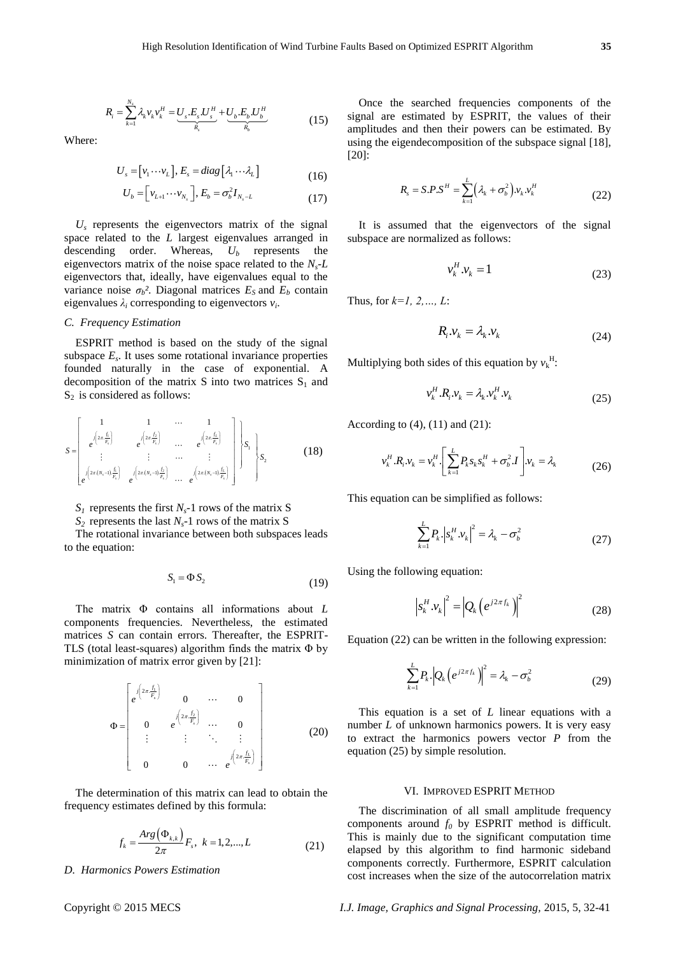$$
R_{i} = \sum_{k=1}^{N_{s}} \lambda_{k} v_{k} v_{k}^{H} = \underbrace{U_{s}.E_{s}.U_{s}^{H}}_{R_{s}} + \underbrace{U_{b}.E_{b}.U_{b}^{H}}_{R_{b}}
$$
(15)

Where:

$$
U_s = [\nu_1 \cdots \nu_L], E_s = diag [\lambda_1 \cdots \lambda_L]
$$
\n(16)

$$
U_b = \left[ v_{L+1} \cdots v_{N_s} \right], E_b = \sigma_b^2 I_{N_s - L}
$$
 (17)

 $U_s$  represents the eigenvectors matrix of the signal space related to the *L* largest eigenvalues arranged in descending order. Whereas, *U<sup>b</sup>* represents the eigenvectors matrix of the noise space related to the *Ns-L*  eigenvectors that, ideally, have eigenvalues equal to the variance noise  $\sigma_b$ ? Diagonal matrices  $E_s$  and  $E_b$  contain eigenvalues  $\lambda_i$  corresponding to eigenvectors  $v_i$ .

### *C. Frequency Estimation*

ESPRIT method is based on the study of the signal subspace  $E_s$ . It uses some rotational invariance properties founded naturally in the case of exponential. A decomposition of the matrix S into two matrices  $S_1$  and  $S_2$  is considered as follows:

$$
S = \begin{bmatrix} 1 & 1 & \cdots & 1 \\ \frac{1}{e^{2\pi \cdot \frac{f_1}{F_1}}} & \frac{1}{e^{2\pi \cdot \frac{f_2}{F_1}}} & \cdots & \frac{1}{e^{2\pi \cdot \frac{f_L}{F_L}}} \\ \vdots & \vdots & \cdots & \vdots \\ \frac{1}{e^{2\pi (N_s - 1)\cdot \frac{f_1}{F_s}}} & \frac{1}{e^{2\pi (N_s - 1)\cdot \frac{f_2}{F_s}}} & \cdots & \frac{1}{e^{2\pi (N_s - 1)\cdot \frac{f_L}{F_s}}} \end{bmatrix} S_1 \begin{bmatrix} S_1 \\ S_2 \end{bmatrix}
$$
(18)

 $S_I$  represents the first  $N_s$ -1 rows of the matrix S

 $S_2$  represents the last  $N_s$ -1 rows of the matrix S

The rotational invariance between both subspaces leads to the equation:

$$
S_1 = \Phi S_2 \tag{19}
$$

The matrix Φ contains all informations about *L* components frequencies. Nevertheless, the estimated matrices *S* can contain errors. Thereafter, the ESPRIT-TLS (total least-squares) algorithm finds the matrix Φ by minimization of matrix error given by [21]:

$$
\Phi = \begin{bmatrix} e^{j\left(2\pi \frac{f_1}{F_s}\right)} & 0 & \cdots & 0 \\ 0 & e^{j\left(2\pi \frac{f_2}{F_s}\right)} & \cdots & 0 \\ \vdots & \vdots & \ddots & \vdots \\ 0 & 0 & \cdots & e^{j\left(2\pi \frac{f_1}{F_s}\right)} \end{bmatrix}
$$
(20)

The determination of this matrix can lead to obtain the frequency estimates defined by this formula:

$$
f_k = \frac{Arg(\Phi_{k,k})}{2\pi} F_s, \ k = 1, 2, \dots, L
$$
 (21)

*D. Harmonics Powers Estimation*

Once the searched frequencies components of the signal are estimated by ESPRIT, the values of their amplitudes and then their powers can be estimated. By using the eigendecomposition of the subspace signal [18], [20]:

$$
R_s = S.P.S^H = \sum_{k=1}^{L} \left(\lambda_k + \sigma_b^2\right) v_k v_k^H
$$
\n(22)

It is assumed that the eigenvectors of the signal subspace are normalized as follows:

$$
v_k^H . v_k = 1 \tag{23}
$$

Thus, for *k=1, 2,…, L*:

$$
R_i \nu_k = \lambda_k \nu_k \tag{24}
$$

Multiplying both sides of this equation by  $v_k^H$ :

$$
v_k^H \cdot R_i \cdot v_k = \lambda_k v_k^H \cdot v_k \tag{25}
$$

According to  $(4)$ ,  $(11)$  and  $(21)$ :

$$
v_k^H . R_i . v_k = v_k^H . \left[ \sum_{k=1}^L P_k s_k s_k^H + \sigma_b^2 . I \right] . v_k = \lambda_k \tag{26}
$$

This equation can be simplified as follows:

$$
\sum_{k=1}^{L} P_k . \left| s_k^H . \nu_k \right|^2 = \lambda_k - \sigma_b^2 \tag{27}
$$

Using the following equation:

$$
\left| s_k^H . v_k \right|^2 = \left| Q_k \left( e^{j2\pi f_k} \right) \right|^2 \tag{28}
$$

Equation (22) can be written in the following expression:

$$
\sum_{k=1}^{L} P_k \left| Q_k \left( e^{j2\pi f_k} \right) \right|^2 = \lambda_k - \sigma_b^2 \tag{29}
$$

This equation is a set of *L* linear equations with a number *L* of unknown harmonics powers. It is very easy to extract the harmonics powers vector *P* from the equation (25) by simple resolution.

#### VI. IMPROVED ESPRIT METHOD

The discrimination of all small amplitude frequency components around  $f_0$  by ESPRIT method is difficult. This is mainly due to the significant computation time elapsed by this algorithm to find harmonic sideband components correctly. Furthermore, ESPRIT calculation cost increases when the size of the autocorrelation matrix

Copyright © 2015 MECS *I.J. Image, Graphics and Signal Processing,* 2015, 5, 32-41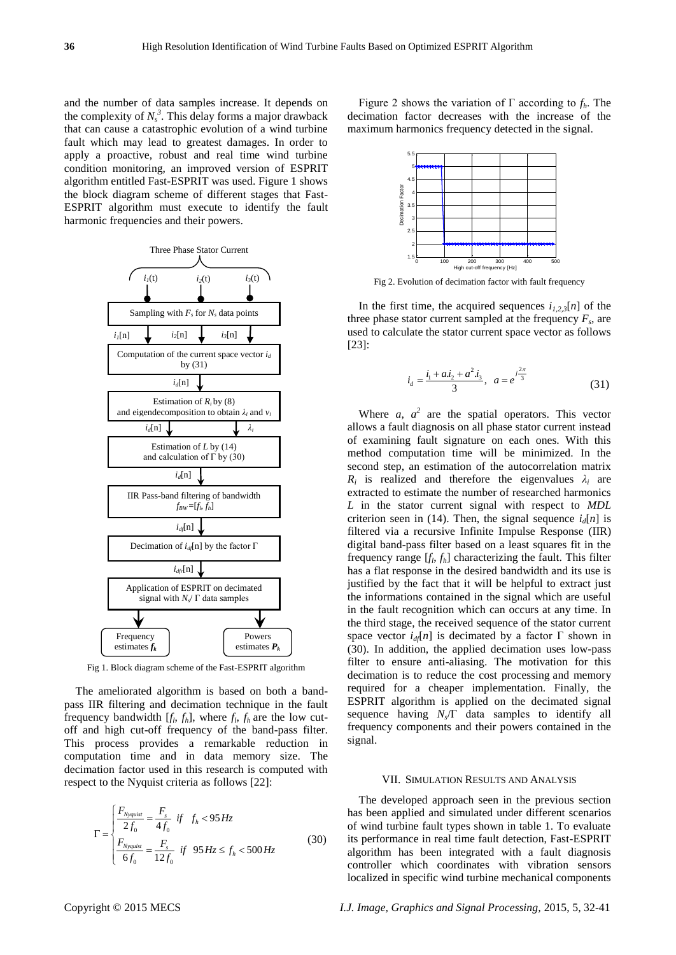and the number of data samples increase. It depends on the complexity of  $N_s^3$ . This delay forms a major drawback that can cause a catastrophic evolution of a wind turbine fault which may lead to greatest damages. In order to apply a proactive, robust and real time wind turbine condition monitoring, an improved version of ESPRIT algorithm entitled Fast-ESPRIT was used. Figure 1 shows the block diagram scheme of different stages that Fast-ESPRIT algorithm must execute to identify the fault harmonic frequencies and their powers.



Fig 1. Block diagram scheme of the Fast-ESPRIT algorithm

The ameliorated algorithm is based on both a bandpass IIR filtering and decimation technique in the fault frequency bandwidth  $[f_l, f_h]$ , where  $f_l, f_h$  are the low cutoff and high cut-off frequency of the band-pass filter. This process provides a remarkable reduction in computation time and in data memory size. The decimation factor used in this research is computed with respect to the Nyquist criteria as follows [22]:

$$
\Gamma = \begin{cases} \frac{F_{Nyquist}}{2f_0} = \frac{F_s}{4f_0} & \text{if } f_h < 95 \, Hz \\ \frac{F_{Nyquist}}{6f_0} = \frac{F_s}{12f_0} & \text{if } 95 \, Hz \le f_h < 500 \, Hz \end{cases} \tag{30}
$$

Figure 2 shows the variation of  $\Gamma$  according to  $f_h$ . The decimation factor decreases with the increase of the maximum harmonics frequency detected in the signal.



Fig 2. Evolution of decimation factor with fault frequency

In the first time, the acquired sequences  $i_{1,2,3}[n]$  of the three phase stator current sampled at the frequency  $F_s$ , are used to calculate the stator current space vector as follows [23]:

$$
i_d = \frac{i_1 + ai_2 + a^2 i_3}{3}, \ \ a = e^{j\frac{2\pi}{3}} \tag{31}
$$

Where  $a$ ,  $a^2$  are the spatial operators. This vector allows a fault diagnosis on all phase stator current instead of examining fault signature on each ones. With this method computation time will be minimized. In the second step, an estimation of the autocorrelation matrix  $R_i$  is realized and therefore the eigenvalues  $\lambda_i$  are extracted to estimate the number of researched harmonics *L* in the stator current signal with respect to *MDL* criterion seen in (14). Then, the signal sequence  $i<sub>d</sub>[n]$  is filtered via a recursive Infinite Impulse Response (IIR) digital band-pass filter based on a least squares fit in the frequency range  $[f_l, f_h]$  characterizing the fault. This filter has a flat response in the desired bandwidth and its use is justified by the fact that it will be helpful to extract just the informations contained in the signal which are useful in the fault recognition which can occurs at any time. In the third stage, the received sequence of the stator current space vector  $i_{df}[n]$  is decimated by a factor  $\Gamma$  shown in (30). In addition, the applied decimation uses low-pass filter to ensure anti-aliasing. The motivation for this decimation is to reduce the cost processing and memory required for a cheaper implementation. Finally, the ESPRIT algorithm is applied on the decimated signal sequence having  $N_s/\Gamma$  data samples to identify all frequency components and their powers contained in the signal.

## VII. SIMULATION RESULTS AND ANALYSIS

The developed approach seen in the previous section has been applied and simulated under different scenarios of wind turbine fault types shown in table 1. To evaluate its performance in real time fault detection, Fast-ESPRIT algorithm has been integrated with a fault diagnosis controller which coordinates with vibration sensors localized in specific wind turbine mechanical components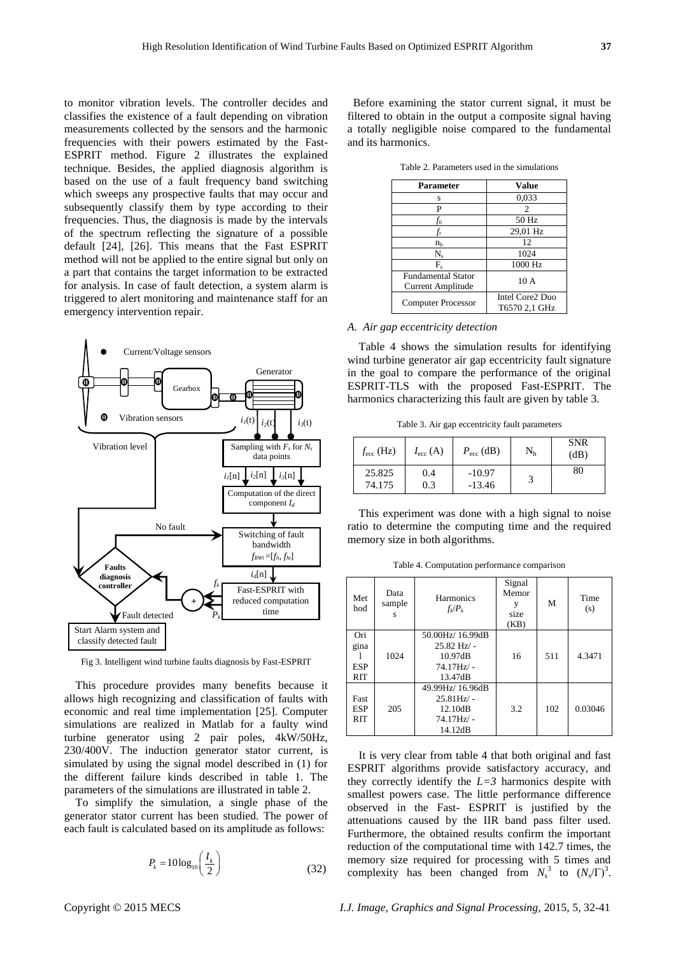to monitor vibration levels. The controller decides and classifies the existence of a fault depending on vibration measurements collected by the sensors and the harmonic frequencies with their powers estimated by the Fast-ESPRIT method. Figure 2 illustrates the explained technique. Besides, the applied diagnosis algorithm is based on the use of a fault frequency band switching which sweeps any prospective faults that may occur and subsequently classify them by type according to their frequencies. Thus, the diagnosis is made by the intervals of the spectrum reflecting the signature of a possible default [24], [26]. This means that the Fast ESPRIT method will not be applied to the entire signal but only on a part that contains the target information to be extracted for analysis. In case of fault detection, a system alarm is triggered to alert monitoring and maintenance staff for an emergency intervention repair.



Fig 3. Intelligent wind turbine faults diagnosis by Fast-ESPRIT

This procedure provides many benefits because it allows high recognizing and classification of faults with economic and real time implementation [25]. Computer simulations are realized in Matlab for a faulty wind turbine generator using 2 pair poles, 4kW/50Hz, 230/400V. The induction generator stator current, is simulated by using the signal model described in (1) for the different failure kinds described in table 1. The parameters of the simulations are illustrated in table 2.

To simplify the simulation, a single phase of the generator stator current has been studied. The power of each fault is calculated based on its amplitude as follows:

$$
P_k = 10\log_{10}\left(\frac{I_k}{2}\right) \tag{32}
$$

Before examining the stator current signal, it must be filtered to obtain in the output a composite signal having a totally negligible noise compared to the fundamental and its harmonics.

| Parameter                                             | Value                            |
|-------------------------------------------------------|----------------------------------|
| S                                                     | 0,033                            |
| P                                                     | $\mathcal{D}_{\mathcal{A}}$      |
| fo                                                    | 50 Hz                            |
| t,                                                    | 29,01 Hz                         |
| n <sub>b</sub>                                        | 12                               |
| $N_{s}$                                               | 1024                             |
| F.                                                    | 1000 Hz                          |
| <b>Fundamental Stator</b><br><b>Current Amplitude</b> | 10A                              |
|                                                       |                                  |
| Computer Processor                                    | Intel Core2 Duo<br>T6570 2,1 GHz |

Table 2. Parameters used in the simulations

# *A. Air gap eccentricity detection*

Table 4 shows the simulation results for identifying wind turbine generator air gap eccentricity fault signature in the goal to compare the performance of the original ESPRIT-TLS with the proposed Fast-ESPRIT. The harmonics characterizing this fault are given by table 3.

Table 3. Air gap eccentricity fault parameters

| $f_{\text{ecc}}$ (Hz) | $I_{\rm ecc}$ (A) | $P_{\text{ecc}}$ (dB) | $\rm N_h$ | <b>SNR</b><br>(dB) |
|-----------------------|-------------------|-----------------------|-----------|--------------------|
| 25.825<br>74.175      | 0.4<br>0.3        | $-10.97$<br>$-13.46$  |           | 80                 |

This experiment was done with a high signal to noise ratio to determine the computing time and the required memory size in both algorithms.

Table 4. Computation performance comparison

| Met<br>hod                       | Data<br>sample<br>s | Harmonics<br>$f_k/P_k$                                               | Signal<br>Memor<br>y<br>size<br>(KB) | M   | Time<br>(s) |
|----------------------------------|---------------------|----------------------------------------------------------------------|--------------------------------------|-----|-------------|
| Ori<br>gina<br><b>ESP</b>        | 1024                | 50.00Hz/16.99dB<br>$25.82$ Hz/ -<br>10.97dB<br>$74.17Hz/ -$          | 16                                   | 511 | 4.3471      |
| <b>RIT</b>                       |                     | 13.47dB                                                              |                                      |     |             |
| Fast<br><b>ESP</b><br><b>RIT</b> | 205                 | 49.99Hz/16.96dB<br>$25.81Hz$ .<br>12.10dB<br>$74.17Hz/ -$<br>14.12dB | 3.2                                  | 102 | 0.03046     |

It is very clear from table 4 that both original and fast ESPRIT algorithms provide satisfactory accuracy, and they correctly identify the  $L=3$  harmonics despite with smallest powers case. The little performance difference observed in the Fast- ESPRIT is justified by the attenuations caused by the IIR band pass filter used. Furthermore, the obtained results confirm the important reduction of the computational time with 142.7 times, the memory size required for processing with 5 times and complexity has been changed from  $N_s^3$  to  $(N_s/\Gamma)^3$ .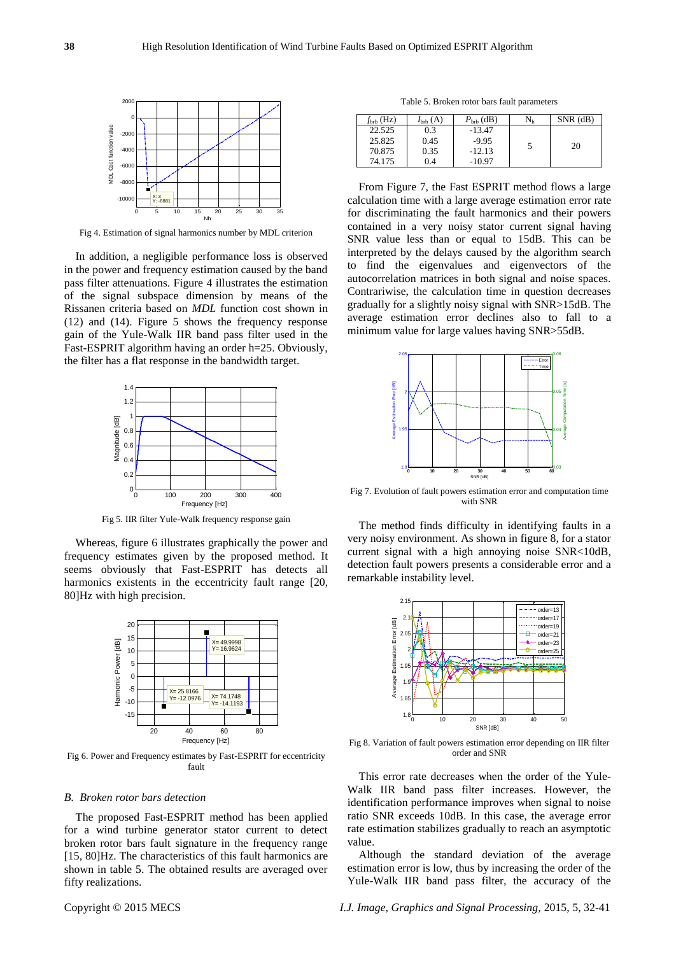

Fig 4. Estimation of signal harmonics number by MDL criterion

In addition, a negligible performance loss is observed in the power and frequency estimation caused by the band pass filter attenuations. Figure 4 illustrates the estimation of the signal subspace dimension by means of the Rissanen criteria based on *MDL* function cost shown in (12) and (14). Figure 5 shows the frequency response gain of the Yule-Walk IIR band pass filter used in the Fast-ESPRIT algorithm having an order h=25. Obviously, the filter has a flat response in the bandwidth target.



Fig 5. IIR filter Yule-Walk frequency response gain

Whereas, figure 6 illustrates graphically the power and frequency estimates given by the proposed method. It seems obviously that Fast-ESPRIT has detects all harmonics existents in the eccentricity fault range [20, 80]Hz with high precision.



Fig 6. Power and Frequency estimates by Fast-ESPRIT for eccentricity fault

#### *B. Broken rotor bars detection*

The proposed Fast-ESPRIT method has been applied for a wind turbine generator stator current to detect broken rotor bars fault signature in the frequency range [15, 80]Hz. The characteristics of this fault harmonics are shown in table 5. The obtained results are averaged over fifty realizations.

Table 5. Broken rotor bars fault parameters

| $f_{\rm{brb}}$ (Hz) | $I_{\rm{brb}}(A)$ | $P_{\rm{brb}}$ (dB) | $\rm N_h$     | $SNR$ (dB) |
|---------------------|-------------------|---------------------|---------------|------------|
| 22.525              | 0.3               | $-13.47$            |               |            |
| 25.825              | 0.45              | $-9.95$             |               |            |
| 70.875              | 0.35              | $-12.13$            | $\mathcal{D}$ | 20         |
| 74.175              | 0.4               | $-10.97$            |               |            |

From Figure 7, the Fast ESPRIT method flows a large calculation time with a large average estimation error rate for discriminating the fault harmonics and their powers contained in a very noisy stator current signal having SNR value less than or equal to 15dB. This can be interpreted by the delays caused by the algorithm search to find the eigenvalues and eigenvectors of the autocorrelation matrices in both signal and noise spaces. Contrariwise, the calculation time in question decreases gradually for a slightly noisy signal with SNR>15dB. The average estimation error declines also to fall to a minimum value for large values having SNR>55dB.



Fig 7. Evolution of fault powers estimation error and computation time with SNR

The method finds difficulty in identifying faults in a very noisy environment. As shown in figure 8, for a stator current signal with a high annoying noise SNR<10dB, detection fault powers presents a considerable error and a remarkable instability level.



Fig 8. Variation of fault powers estimation error depending on IIR filter order and SNR

This error rate decreases when the order of the Yule-Walk IIR band pass filter increases. However, the identification performance improves when signal to noise ratio SNR exceeds 10dB. In this case, the average error rate estimation stabilizes gradually to reach an asymptotic value.

Although the standard deviation of the average estimation error is low, thus by increasing the order of the Yule-Walk IIR band pass filter, the accuracy of the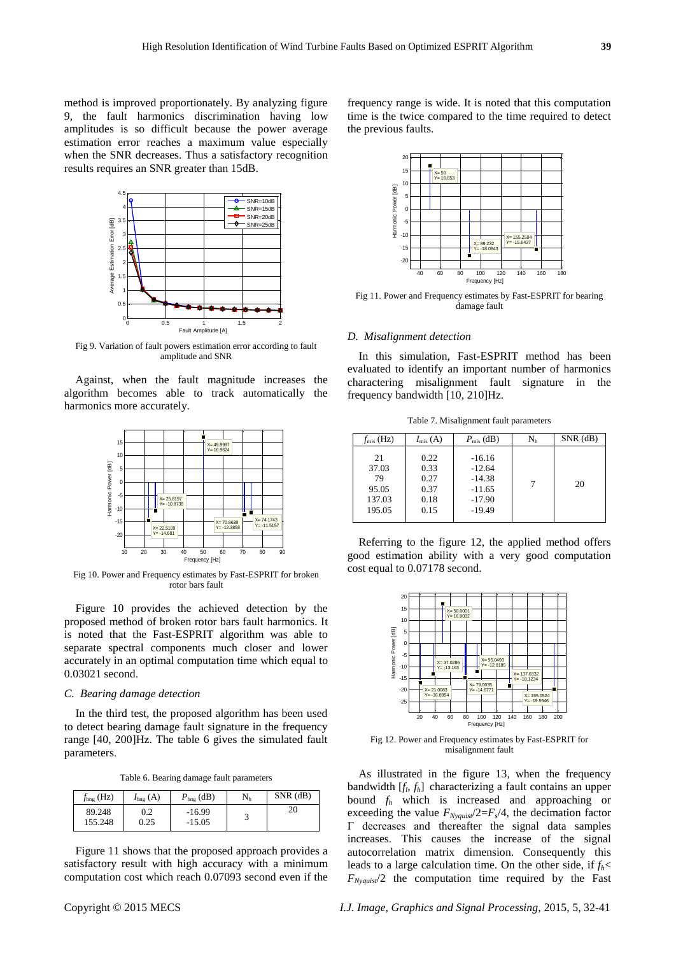method is improved proportionately. By analyzing figure 9, the fault harmonics discrimination having low amplitudes is so difficult because the power average estimation error reaches a maximum value especially when the SNR decreases. Thus a satisfactory recognition results requires an SNR greater than 15dB.



Fig 9. Variation of fault powers estimation error according to fault amplitude and SNR

Against, when the fault magnitude increases the algorithm becomes able to track automatically the harmonics more accurately.



Fig 10. Power and Frequency estimates by Fast-ESPRIT for broken rotor bars fault

Figure 10 provides the achieved detection by the proposed method of broken rotor bars fault harmonics. It is noted that the Fast-ESPRIT algorithm was able to separate spectral components much closer and lower accurately in an optimal computation time which equal to 0.03021 second.

## *C. Bearing damage detection*

In the third test, the proposed algorithm has been used to detect bearing damage fault signature in the frequency range [40, 200]Hz. The table 6 gives the simulated fault parameters.

Table 6. Bearing damage fault parameters

| $f_{\text{bng}}$ (Hz) | $I_{\text{bng}}(A)$ | $P_{\text{bng}}$ (dB) | $\rm N_h$ | $SNR$ (dB) |
|-----------------------|---------------------|-----------------------|-----------|------------|
| 89.248<br>155.248     | 0.2<br>0.25         | $-16.99$<br>$-15.05$  |           | 20         |

Figure 11 shows that the proposed approach provides a satisfactory result with high accuracy with a minimum computation cost which reach 0.07093 second even if the frequency range is wide. It is noted that this computation time is the twice compared to the time required to detect the previous faults.



Fig 11. Power and Frequency estimates by Fast-ESPRIT for bearing damage fault

#### *D. Misalignment detection*

In this simulation, Fast-ESPRIT method has been evaluated to identify an important number of harmonics charactering misalignment fault signature in the frequency bandwidth [10, 210]Hz.

Table 7. Misalignment fault parameters

| $f_{\rm mis}$ (Hz)                             | $I_{\rm mis}$ (A)                            | $P_{\rm mis}$ (dB)                                                   | $\rm N_h$ | $SNR$ ( $dB$ ) |
|------------------------------------------------|----------------------------------------------|----------------------------------------------------------------------|-----------|----------------|
| 21<br>37.03<br>79<br>95.05<br>137.03<br>195.05 | 0.22<br>0.33<br>0.27<br>0.37<br>0.18<br>0.15 | $-16.16$<br>$-12.64$<br>$-14.38$<br>$-11.65$<br>$-17.90$<br>$-19.49$ |           | 20             |

Referring to the figure 12, the applied method offers good estimation ability with a very good computation cost equal to 0.07178 second.



Fig 12. Power and Frequency estimates by Fast-ESPRIT for misalignment fault

As illustrated in the figure 13, when the frequency bandwidth [*f<sup>l</sup>* , *fh*] characterizing a fault contains an upper bound *f<sup>h</sup>* which is increased and approaching or exceeding the value  $F_{Nyquist}/2=F_s/4$ , the decimation factor Г decreases and thereafter the signal data samples increases. This causes the increase of the signal autocorrelation matrix dimension. Consequently this leads to a large calculation time. On the other side, if *fh*<  $F_{Nyquist}/2$  the computation time required by the Fast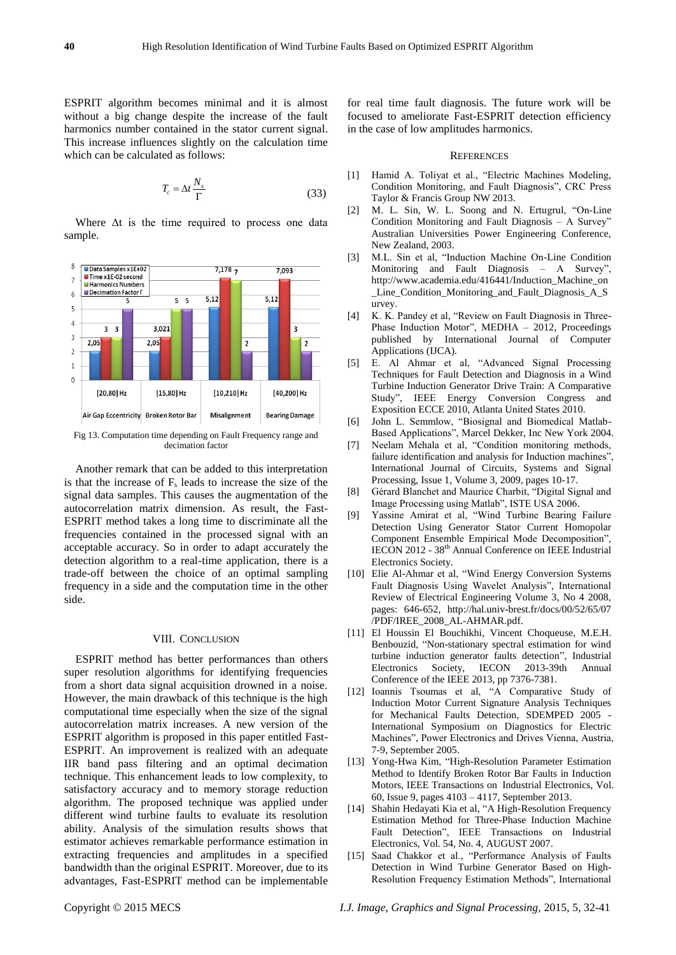ESPRIT algorithm becomes minimal and it is almost without a big change despite the increase of the fault harmonics number contained in the stator current signal. This increase influences slightly on the calculation time which can be calculated as follows:

$$
T_c = \Delta t \frac{N_s}{\Gamma} \tag{33}
$$

Where  $\Delta t$  is the time required to process one data sample.



Fig 13. Computation time depending on Fault Frequency range and decimation factor

Another remark that can be added to this interpretation is that the increase of  $F_s$  leads to increase the size of the signal data samples. This causes the augmentation of the autocorrelation matrix dimension. As result, the Fast-ESPRIT method takes a long time to discriminate all the frequencies contained in the processed signal with an acceptable accuracy. So in order to adapt accurately the detection algorithm to a real-time application, there is a trade-off between the choice of an optimal sampling frequency in a side and the computation time in the other side.

### VIII. CONCLUSION

ESPRIT method has better performances than others super resolution algorithms for identifying frequencies from a short data signal acquisition drowned in a noise. However, the main drawback of this technique is the high computational time especially when the size of the signal autocorrelation matrix increases. A new version of the ESPRIT algorithm is proposed in this paper entitled Fast-ESPRIT. An improvement is realized with an adequate IIR band pass filtering and an optimal decimation technique. This enhancement leads to low complexity, to satisfactory accuracy and to memory storage reduction algorithm. The proposed technique was applied under different wind turbine faults to evaluate its resolution ability. Analysis of the simulation results shows that estimator achieves remarkable performance estimation in extracting frequencies and amplitudes in a specified bandwidth than the original ESPRIT. Moreover, due to its advantages, Fast-ESPRIT method can be implementable for real time fault diagnosis. The future work will be focused to ameliorate Fast-ESPRIT detection efficiency in the case of low amplitudes harmonics.

#### **REFERENCES**

- [1] Hamid A. Toliyat et al., "Electric Machines Modeling, Condition Monitoring, and Fault Diagnosis", CRC Press Taylor & Francis Group NW 2013.
- [2] M. L. Sin, W. L. Soong and N. Ertugrul, "On-Line Condition Monitoring and Fault Diagnosis – A Survey" Australian Universities Power Engineering Conference, New Zealand, 2003.
- [3] M.L. Sin et al, "Induction Machine On-Line Condition Monitoring and Fault Diagnosis – A Survey", http://www.academia.edu/416441/Induction\_Machine\_on \_Line\_Condition\_Monitoring\_and\_Fault\_Diagnosis\_A\_S urvey.
- [4] K. K. Pandey et al, "Review on Fault Diagnosis in Three-Phase Induction Motor", MEDHA – 2012, Proceedings published by International Journal of Computer Applications (IJCA).
- [5] E. Al Ahmar et al, "Advanced Signal Processing Techniques for Fault Detection and Diagnosis in a Wind Turbine Induction Generator Drive Train: A Comparative Study", IEEE Energy Conversion Congress and Exposition ECCE 2010, Atlanta United States 2010.
- [6] John L. Semmlow, "Biosignal and Biomedical Matlab-Based Applications", Marcel Dekker, Inc New York 2004.
- [7] Neelam Mehala et al, "Condition monitoring methods, failure identification and analysis for Induction machines", International Journal of Circuits, Systems and Signal Processing, Issue 1, Volume 3, 2009, pages 10-17.
- [8] Gérard Blanchet and Maurice Charbit, "Digital Signal and Image Processing using Matlab", ISTE USA 2006.
- [9] Yassine Amirat et al, "Wind Turbine Bearing Failure Detection Using Generator Stator Current Homopolar Component Ensemble Empirical Mode Decomposition", IECON 2012 - 38<sup>th</sup> Annual Conference on IEEE Industrial [Electronics Society.](http://ieeexplore.ieee.org/xpl/mostRecentIssue.jsp?punumber=6373889)
- [10] Elie Al-Ahmar et al, "Wind Energy Conversion Systems Fault Diagnosis Using Wavelet Analysis", International Review of Electrical Engineering Volume 3, No 4 2008, pages: 646-652, http://hal.univ-brest.fr/docs/00/52/65/07 /PDF/IREE\_2008\_AL-AHMAR.pdf.
- [11] El Houssin El Bouchikhi, Vincent Choqueuse, M.E.H. Benbouzid, "Non-stationary spectral estimation for wind turbine induction generator faults detection", Industrial Electronics Society, IECON 2013-39th Annual Conference of the IEEE 2013, pp 7376-7381.
- [12] Ioannis Tsoumas et al, "A Comparative Study of Induction Motor Current Signature Analysis Techniques for Mechanical Faults Detection, SDEMPED 2005 - International Symposium on Diagnostics for Electric Machines", Power Electronics and Drives Vienna, Austria, 7-9, September 2005.
- [13] [Yong-Hwa Kim,](http://ieeexplore.ieee.org/search/searchresult.jsp?searchWithin=p_Authors:.QT.Yong-Hwa%20Kim.QT.&newsearch=true) "High-Resolution Parameter Estimation Method to Identify Broken Rotor Bar Faults in Induction Motors, [IEEE Transactions on](http://ieeexplore.ieee.org/xpl/RecentIssue.jsp?punumber=41) Industrial Electronics, Vol. 60, [Issue 9,](http://ieeexplore.ieee.org/xpl/tocresult.jsp?isnumber=6512583) pages 4103 – 4117, September 2013.
- [14] Shahin Hedayati Kia et al, "A High-Resolution Frequency Estimation Method for Three-Phase Induction Machine Fault Detection", IEEE Transactions on Industrial Electronics, Vol. 54, No. 4, AUGUST 2007.
- [15] Saad Chakkor et al., "Performance Analysis of Faults Detection in Wind Turbine Generator Based on High-Resolution Frequency Estimation Methods", International